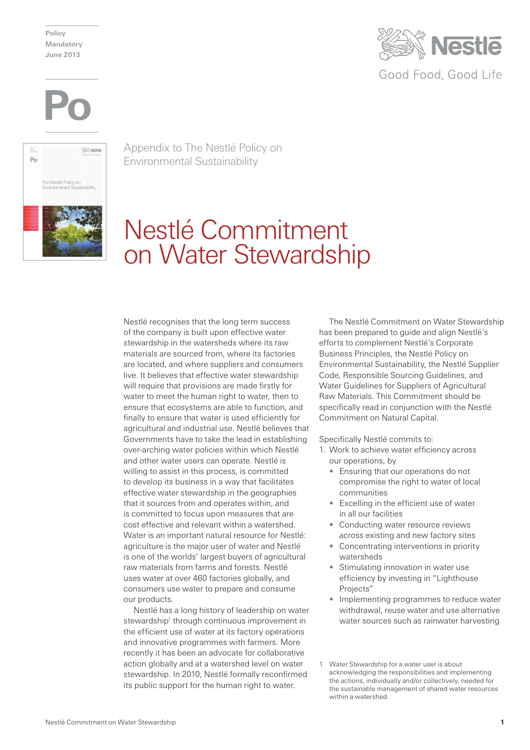**Policy Mandatory June 2013**







Appendix to The Nestlé Policy on Environmental Sustainability

## Nestlé Commitment on Water Stewardship

Nestlé recognises that the long term success of the company is built upon effective water stewardship in the watersheds where its raw materials are sourced from, where its factories are located, and where suppliers and consumers live. It believes that effective water stewardship will require that provisions are made firstly for water to meet the human right to water, then to ensure that ecosystems are able to function, and finally to ensure that water is used efficiently for agricultural and industrial use. Nestlé believes that Governments have to take the lead in establishing over-arching water policies within which Nestlé and other water users can operate. Nestlé is willing to assist in this process, is committed to develop its business in a way that facilitates effective water stewardship in the geographies that it sources from and operates within, and is committed to focus upon measures that are cost effective and relevant within a watershed. Water is an important natural resource for Nestlé: agriculture is the major user of water and Nestlé is one of the worlds' largest buyers of agricultural raw materials from farms and forests. Nestlé uses water at over 460 factories globally, and consumers use water to prepare and consume our products.

Nestlé has a long history of leadership on water stewardship<sup>1</sup> through continuous improvement in the efficient use of water at its factory operations and innovative programmes with farmers. More recently it has been an advocate for collaborative action globally and at a watershed level on water stewardship. In 2010, Nestlé formally reconfirmed its public support for the human right to water.

The Nestlé Commitment on Water Stewardship has been prepared to guide and align Nestlé's efforts to complement Nestlé's Corporate Business Principles, the Nestlé Policy on Environmental Sustainability, the Nestlé Supplier Code, Responsible Sourcing Guidelines, and Water Guidelines for Suppliers of Agricultural Raw Materials. This Commitment should be specifically read in conjunction with the Nestlé Commitment on Natural Capital.

Specifically Nestlé commits to:

- 1. Work to achieve water efficiency across our operations, by
	- Ensuring that our operations do not compromise the right to water of local communities
	- Excelling in the efficient use of water in all our facilities
	- Conducting water resource reviews across existing and new factory sites
	- Concentrating interventions in priority watersheds
	- Stimulating innovation in water use efficiency by investing in "Lighthouse Projects"
	- Implementing programmes to reduce water withdrawal, reuse water and use alternative water sources such as rainwater harvesting

<sup>1</sup> Water Stewardship for a water user is about acknowledging the responsibilities and implementing the actions, individually and/or collectively, needed for the sustainable management of shared water resources within a watershed.